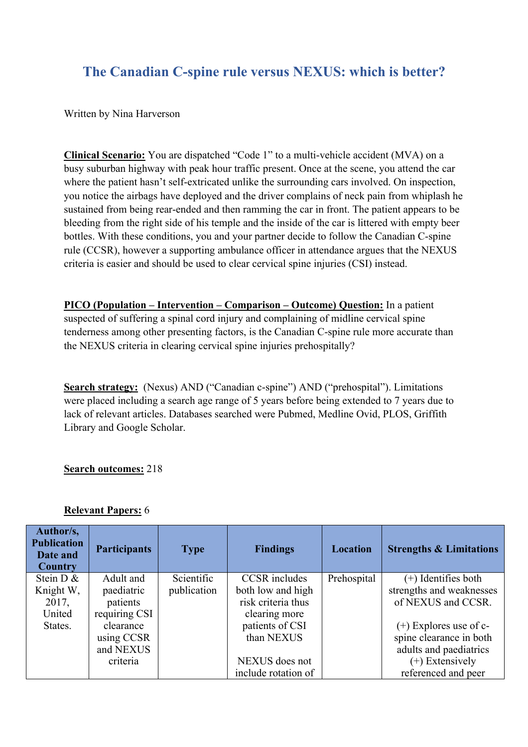# **The Canadian C-spine rule versus NEXUS: which is better?**

Written by Nina Harverson

**Clinical Scenario:** You are dispatched "Code 1" to a multi-vehicle accident (MVA) on a busy suburban highway with peak hour traffic present. Once at the scene, you attend the car where the patient hasn't self-extricated unlike the surrounding cars involved. On inspection, you notice the airbags have deployed and the driver complains of neck pain from whiplash he sustained from being rear-ended and then ramming the car in front. The patient appears to be bleeding from the right side of his temple and the inside of the car is littered with empty beer bottles. With these conditions, you and your partner decide to follow the Canadian C-spine rule (CCSR), however a supporting ambulance officer in attendance argues that the NEXUS criteria is easier and should be used to clear cervical spine injuries (CSI) instead.

**PICO (Population – Intervention – Comparison – Outcome) Question:** In a patient suspected of suffering a spinal cord injury and complaining of midline cervical spine tenderness among other presenting factors, is the Canadian C-spine rule more accurate than the NEXUS criteria in clearing cervical spine injuries prehospitally?

**Search strategy:** (Nexus) AND ("Canadian c-spine") AND ("prehospital"). Limitations were placed including a search age range of 5 years before being extended to 7 years due to lack of relevant articles. Databases searched were Pubmed, Medline Ovid, PLOS, Griffith Library and Google Scholar.

### **Search outcomes:** 218

### **Relevant Papers:** 6

| Author/s,<br><b>Publication</b><br>Date and<br><b>Country</b> | <b>Participants</b> | <b>Type</b> | <b>Findings</b>      | <b>Location</b> | <b>Strengths &amp; Limitations</b> |
|---------------------------------------------------------------|---------------------|-------------|----------------------|-----------------|------------------------------------|
| Stein $D \&$                                                  | Adult and           | Scientific  | <b>CCSR</b> includes | Prehospital     | $(+)$ Identifies both              |
| Knight W,                                                     | paediatric          | publication | both low and high    |                 | strengths and weaknesses           |
| 2017,                                                         | patients            |             | risk criteria thus   |                 | of NEXUS and CCSR.                 |
| United                                                        | requiring CSI       |             | clearing more        |                 |                                    |
| States.                                                       | clearance           |             | patients of CSI      |                 | $(+)$ Explores use of c-           |
|                                                               | using CCSR          |             | than NEXUS           |                 | spine clearance in both            |
|                                                               | and NEXUS           |             |                      |                 | adults and paediatrics             |
|                                                               | criteria            |             | NEXUS does not       |                 | $(+)$ Extensively                  |
|                                                               |                     |             | include rotation of  |                 | referenced and peer                |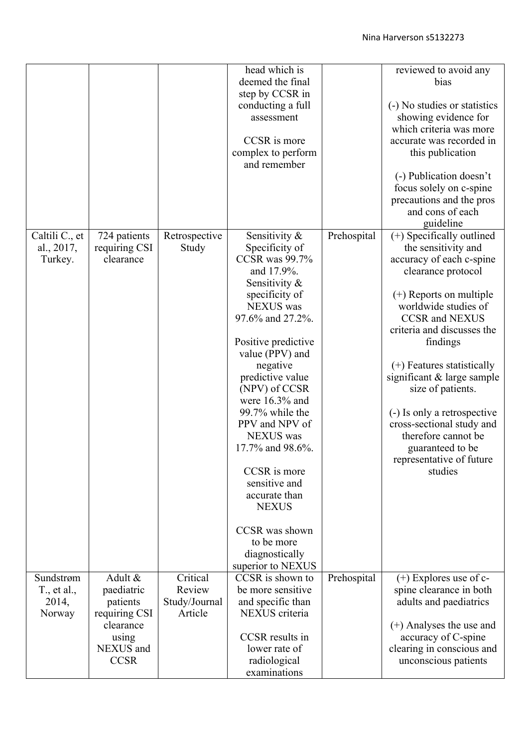|                |               |               | head which is         |             | reviewed to avoid any        |
|----------------|---------------|---------------|-----------------------|-------------|------------------------------|
|                |               |               | deemed the final      |             | bias                         |
|                |               |               | step by CCSR in       |             |                              |
|                |               |               |                       |             |                              |
|                |               |               | conducting a full     |             | (-) No studies or statistics |
|                |               |               | assessment            |             | showing evidence for         |
|                |               |               |                       |             | which criteria was more      |
|                |               |               | CCSR is more          |             | accurate was recorded in     |
|                |               |               | complex to perform    |             | this publication             |
|                |               |               | and remember          |             |                              |
|                |               |               |                       |             | (-) Publication doesn't      |
|                |               |               |                       |             | focus solely on c-spine      |
|                |               |               |                       |             | precautions and the pros     |
|                |               |               |                       |             | and cons of each             |
|                |               |               |                       |             | guideline                    |
| Caltili C., et | 724 patients  | Retrospective | Sensitivity &         | Prehospital | (+) Specifically outlined    |
| al., 2017,     | requiring CSI | Study         | Specificity of        |             | the sensitivity and          |
|                | clearance     |               | <b>CCSR</b> was 99.7% |             |                              |
| Turkey.        |               |               |                       |             | accuracy of each c-spine     |
|                |               |               | and 17.9%.            |             | clearance protocol           |
|                |               |               | Sensitivity &         |             |                              |
|                |               |               | specificity of        |             | $(+)$ Reports on multiple    |
|                |               |               | <b>NEXUS</b> was      |             | worldwide studies of         |
|                |               |               | 97.6% and 27.2%.      |             | <b>CCSR</b> and <b>NEXUS</b> |
|                |               |               |                       |             | criteria and discusses the   |
|                |               |               | Positive predictive   |             | findings                     |
|                |               |               | value (PPV) and       |             |                              |
|                |               |               | negative              |             |                              |
|                |               |               |                       |             | $(+)$ Features statistically |
|                |               |               | predictive value      |             | significant & large sample   |
|                |               |               | (NPV) of CCSR         |             | size of patients.            |
|                |               |               | were 16.3% and        |             |                              |
|                |               |               | 99.7% while the       |             | (-) Is only a retrospective  |
|                |               |               | PPV and NPV of        |             | cross-sectional study and    |
|                |               |               | <b>NEXUS</b> was      |             | therefore cannot be          |
|                |               |               | 17.7% and 98.6%.      |             | guaranteed to be             |
|                |               |               |                       |             | representative of future     |
|                |               |               | CCSR is more          |             | studies                      |
|                |               |               | sensitive and         |             |                              |
|                |               |               |                       |             |                              |
|                |               |               | accurate than         |             |                              |
|                |               |               | <b>NEXUS</b>          |             |                              |
|                |               |               |                       |             |                              |
|                |               |               | CCSR was shown        |             |                              |
|                |               |               | to be more            |             |                              |
|                |               |               | diagnostically        |             |                              |
|                |               |               | superior to NEXUS     |             |                              |
| Sundstrøm      | Adult &       | Critical      | CCSR is shown to      | Prehospital | $(+)$ Explores use of c-     |
| T., et al.,    | paediatric    | Review        | be more sensitive     |             | spine clearance in both      |
| 2014,          | patients      | Study/Journal | and specific than     |             | adults and paediatrics       |
| Norway         | requiring CSI | Article       | NEXUS criteria        |             |                              |
|                | clearance     |               |                       |             | (+) Analyses the use and     |
|                | using         |               | CCSR results in       |             | accuracy of C-spine          |
|                |               |               | lower rate of         |             |                              |
|                | NEXUS and     |               |                       |             | clearing in conscious and    |
|                | <b>CCSR</b>   |               | radiological          |             | unconscious patients         |
|                |               |               | examinations          |             |                              |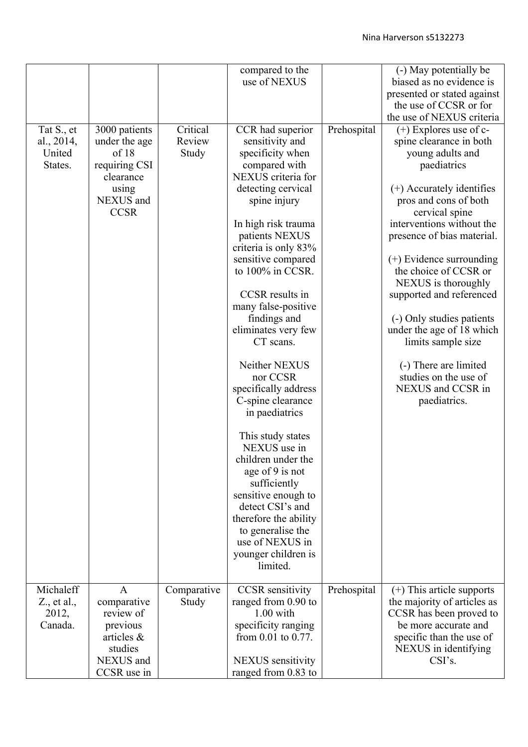|                                                        |                                                                                                            |                             | compared to the<br>use of NEXUS                                                                                                                                                                                                                                                                                                                                                                                                                                                                                                                                                                                                                                                        |             | (-) May potentially be<br>biased as no evidence is<br>presented or stated against<br>the use of CCSR or for                                                                                                                                                                                                                                                                                                                                                                                                                             |
|--------------------------------------------------------|------------------------------------------------------------------------------------------------------------|-----------------------------|----------------------------------------------------------------------------------------------------------------------------------------------------------------------------------------------------------------------------------------------------------------------------------------------------------------------------------------------------------------------------------------------------------------------------------------------------------------------------------------------------------------------------------------------------------------------------------------------------------------------------------------------------------------------------------------|-------------|-----------------------------------------------------------------------------------------------------------------------------------------------------------------------------------------------------------------------------------------------------------------------------------------------------------------------------------------------------------------------------------------------------------------------------------------------------------------------------------------------------------------------------------------|
| Tat S., et<br>al., 2014,<br>United<br>States.          | 3000 patients<br>under the age<br>of 18<br>requiring CSI<br>clearance<br>using<br>NEXUS and<br><b>CCSR</b> | Critical<br>Review<br>Study | CCR had superior<br>sensitivity and<br>specificity when<br>compared with<br>NEXUS criteria for<br>detecting cervical<br>spine injury<br>In high risk trauma<br>patients NEXUS<br>criteria is only 83%<br>sensitive compared<br>to 100% in CCSR.<br>CCSR results in<br>many false-positive<br>findings and<br>eliminates very few<br>CT scans.<br>Neither NEXUS<br>nor CCSR<br>specifically address<br>C-spine clearance<br>in paediatrics<br>This study states<br>NEXUS use in<br>children under the<br>age of 9 is not<br>sufficiently<br>sensitive enough to<br>detect CSI's and<br>therefore the ability<br>to generalise the<br>use of NEXUS in<br>younger children is<br>limited. | Prehospital | the use of NEXUS criteria<br>$(+)$ Explores use of c-<br>spine clearance in both<br>young adults and<br>paediatrics<br>(+) Accurately identifies<br>pros and cons of both<br>cervical spine<br>interventions without the<br>presence of bias material.<br>$(+)$ Evidence surrounding<br>the choice of CCSR or<br>NEXUS is thoroughly<br>supported and referenced<br>(-) Only studies patients<br>under the age of 18 which<br>limits sample size<br>(-) There are limited<br>studies on the use of<br>NEXUS and CCSR in<br>paediatrics. |
| Michaleff<br>$Z_{\cdot}$ , et al.,<br>2012,<br>Canada. | $\mathsf{A}$<br>comparative<br>review of<br>previous<br>articles &<br>studies<br>NEXUS and<br>CCSR use in  | Comparative<br>Study        | <b>CCSR</b> sensitivity<br>ranged from 0.90 to<br>$1.00$ with<br>specificity ranging<br>from $0.01$ to $0.77$ .<br><b>NEXUS</b> sensitivity<br>ranged from 0.83 to                                                                                                                                                                                                                                                                                                                                                                                                                                                                                                                     | Prehospital | $(+)$ This article supports<br>the majority of articles as<br>CCSR has been proved to<br>be more accurate and<br>specific than the use of<br>NEXUS in identifying<br>CSI's.                                                                                                                                                                                                                                                                                                                                                             |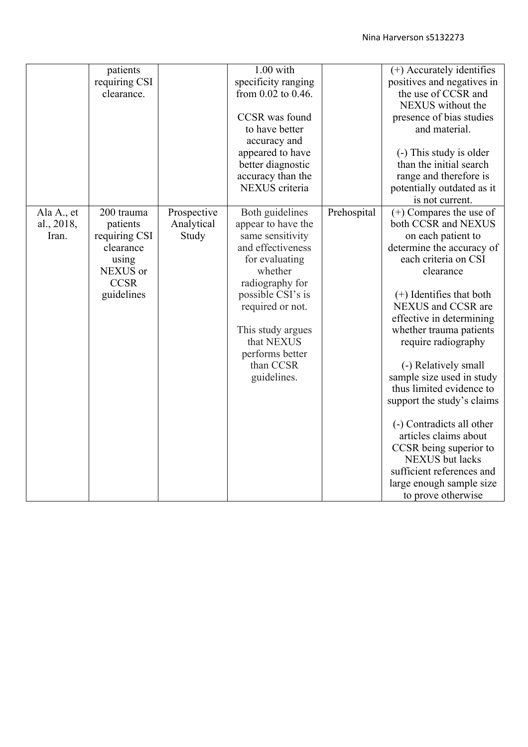|                          | patients               |                           | $1.00$ with                           |             | (+) Accurately identifies                      |
|--------------------------|------------------------|---------------------------|---------------------------------------|-------------|------------------------------------------------|
|                          | requiring CSI          |                           | specificity ranging                   |             | positives and negatives in                     |
|                          | clearance.             |                           | from $0.02$ to $0.46$ .               |             | the use of CCSR and                            |
|                          |                        |                           |                                       |             | NEXUS without the                              |
|                          |                        |                           | CCSR was found                        |             | presence of bias studies                       |
|                          |                        |                           | to have better                        |             | and material.                                  |
|                          |                        |                           | accuracy and                          |             |                                                |
|                          |                        |                           | appeared to have                      |             | (-) This study is older                        |
|                          |                        |                           | better diagnostic                     |             | than the initial search                        |
|                          |                        |                           | accuracy than the                     |             | range and therefore is                         |
|                          |                        |                           | NEXUS criteria                        |             | potentially outdated as it                     |
|                          |                        |                           |                                       |             | is not current.                                |
|                          |                        |                           |                                       |             |                                                |
| Ala A., et<br>al., 2018, | 200 trauma<br>patients | Prospective<br>Analytical | Both guidelines<br>appear to have the | Prehospital | (+) Compares the use of<br>both CCSR and NEXUS |
| Iran.                    | requiring CSI          | Study                     | same sensitivity                      |             | on each patient to                             |
|                          | clearance              |                           | and effectiveness                     |             | determine the accuracy of                      |
|                          | using                  |                           | for evaluating                        |             | each criteria on CSI                           |
|                          | NEXUS or               |                           | whether                               |             | clearance                                      |
|                          | <b>CCSR</b>            |                           | radiography for                       |             |                                                |
|                          | guidelines             |                           | possible CSI's is                     |             | $(+)$ Identifies that both                     |
|                          |                        |                           | required or not.                      |             | NEXUS and CCSR are                             |
|                          |                        |                           |                                       |             | effective in determining                       |
|                          |                        |                           | This study argues                     |             | whether trauma patients                        |
|                          |                        |                           | that NEXUS                            |             | require radiography                            |
|                          |                        |                           | performs better                       |             |                                                |
|                          |                        |                           | than CCSR                             |             | (-) Relatively small                           |
|                          |                        |                           | guidelines.                           |             | sample size used in study                      |
|                          |                        |                           |                                       |             | thus limited evidence to                       |
|                          |                        |                           |                                       |             | support the study's claims                     |
|                          |                        |                           |                                       |             |                                                |
|                          |                        |                           |                                       |             | (-) Contradicts all other                      |
|                          |                        |                           |                                       |             | articles claims about                          |
|                          |                        |                           |                                       |             | CCSR being superior to                         |
|                          |                        |                           |                                       |             | <b>NEXUS</b> but lacks                         |
|                          |                        |                           |                                       |             | sufficient references and                      |
|                          |                        |                           |                                       |             | large enough sample size                       |
|                          |                        |                           |                                       |             | to prove otherwise                             |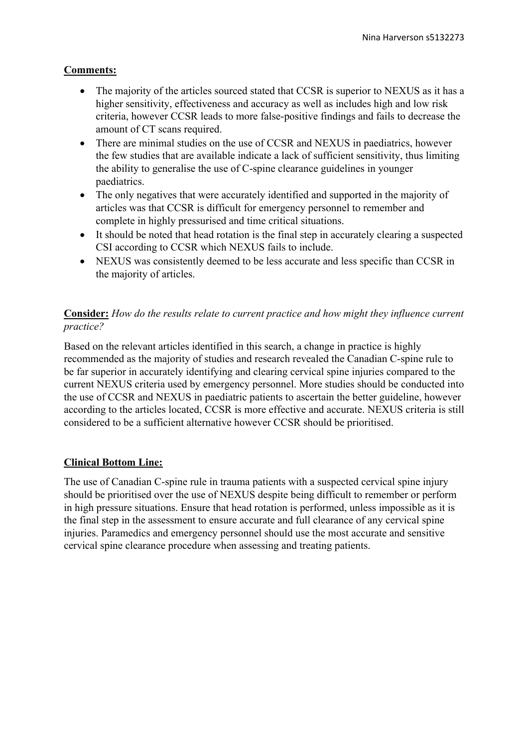## **Comments:**

- The majority of the articles sourced stated that CCSR is superior to NEXUS as it has a higher sensitivity, effectiveness and accuracy as well as includes high and low risk criteria, however CCSR leads to more false-positive findings and fails to decrease the amount of CT scans required.
- There are minimal studies on the use of CCSR and NEXUS in paediatrics, however the few studies that are available indicate a lack of sufficient sensitivity, thus limiting the ability to generalise the use of C-spine clearance guidelines in younger paediatrics.
- The only negatives that were accurately identified and supported in the majority of articles was that CCSR is difficult for emergency personnel to remember and complete in highly pressurised and time critical situations.
- It should be noted that head rotation is the final step in accurately clearing a suspected CSI according to CCSR which NEXUS fails to include.
- NEXUS was consistently deemed to be less accurate and less specific than CCSR in the majority of articles.

# **Consider:** *How do the results relate to current practice and how might they influence current practice?*

Based on the relevant articles identified in this search, a change in practice is highly recommended as the majority of studies and research revealed the Canadian C-spine rule to be far superior in accurately identifying and clearing cervical spine injuries compared to the current NEXUS criteria used by emergency personnel. More studies should be conducted into the use of CCSR and NEXUS in paediatric patients to ascertain the better guideline, however according to the articles located, CCSR is more effective and accurate. NEXUS criteria is still considered to be a sufficient alternative however CCSR should be prioritised.

# **Clinical Bottom Line:**

The use of Canadian C-spine rule in trauma patients with a suspected cervical spine injury should be prioritised over the use of NEXUS despite being difficult to remember or perform in high pressure situations. Ensure that head rotation is performed, unless impossible as it is the final step in the assessment to ensure accurate and full clearance of any cervical spine injuries. Paramedics and emergency personnel should use the most accurate and sensitive cervical spine clearance procedure when assessing and treating patients.